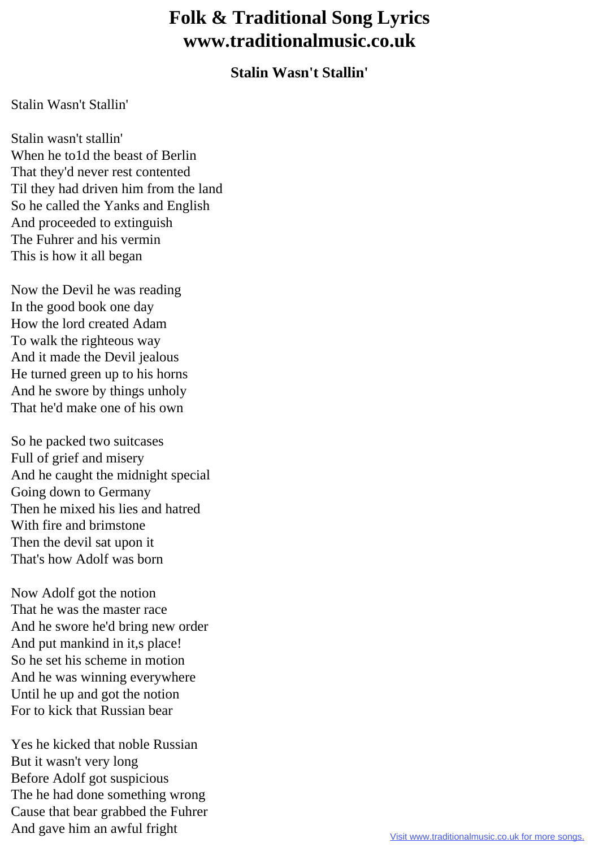## **Folk & Traditional Song Lyrics www.traditionalmusic.co.uk**

## **Stalin Wasn't Stallin'**

## Stalin Wasn't Stallin'

Stalin wasn't stallin' When he to1d the beast of Berlin That they'd never rest contented Til they had driven him from the land So he called the Yanks and English And proceeded to extinguish The Fuhrer and his vermin This is how it all began

Now the Devil he was reading In the good book one day How the lord created Adam To walk the righteous way And it made the Devil jealous He turned green up to his horns And he swore by things unholy That he'd make one of his own

So he packed two suitcases Full of grief and misery And he caught the midnight special Going down to Germany Then he mixed his lies and hatred With fire and brimstone Then the devil sat upon it That's how Adolf was born

Now Adolf got the notion That he was the master race And he swore he'd bring new order And put mankind in it,s place! So he set his scheme in motion And he was winning everywhere Until he up and got the notion For to kick that Russian bear

Yes he kicked that noble Russian But it wasn't very long Before Adolf got suspicious The he had done something wrong Cause that bear grabbed the Fuhrer And gave him an awful fright